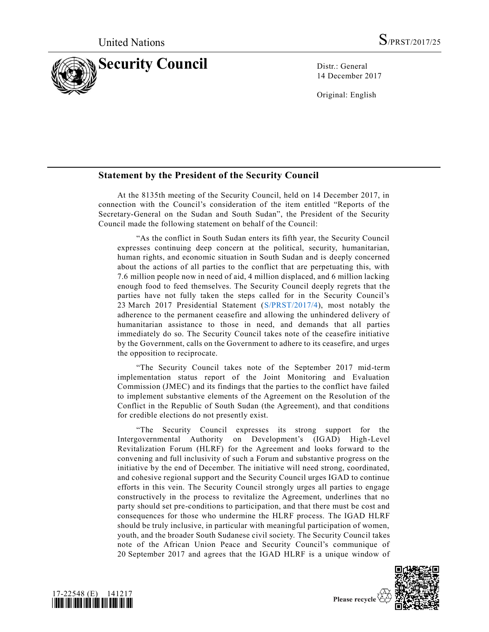

14 December 2017

Original: English

## **Statement by the President of the Security Council**

At the 8135th meeting of the Security Council, held on 14 December 2017, in connection with the Council's consideration of the item entitled "Reports of the Secretary-General on the Sudan and South Sudan", the President of the Security Council made the following statement on behalf of the Council:

"As the conflict in South Sudan enters its fifth year, the Security Council expresses continuing deep concern at the political, security, humanitarian, human rights, and economic situation in South Sudan and is deeply concerned about the actions of all parties to the conflict that are perpetuating this, with 7.6 million people now in need of aid, 4 million displaced, and 6 million lacking enough food to feed themselves. The Security Council deeply regrets that the parties have not fully taken the steps called for in the Security Council's 23 March 2017 Presidential Statement [\(S/PRST/2017/4\)](https://undocs.org/S/PRST/2017/4), most notably the adherence to the permanent ceasefire and allowing the unhindered delivery of humanitarian assistance to those in need, and demands that all parties immediately do so. The Security Council takes note of the ceasefire initiative by the Government, calls on the Government to adhere to its ceasefire, and urges the opposition to reciprocate.

"The Security Council takes note of the September 2017 mid-term implementation status report of the Joint Monitoring and Evaluation Commission (JMEC) and its findings that the parties to the conflict have failed to implement substantive elements of the Agreement on the Resolution of the Conflict in the Republic of South Sudan (the Agreement), and that conditions for credible elections do not presently exist.

"The Security Council expresses its strong support for the Intergovernmental Authority on Development's (IGAD) High-Level Revitalization Forum (HLRF) for the Agreement and looks forward to the convening and full inclusivity of such a Forum and substantive progress on the initiative by the end of December. The initiative will need strong, coordinated, and cohesive regional support and the Security Council urges IGAD to continue efforts in this vein. The Security Council strongly urges all parties to engage constructively in the process to revitalize the Agreement, underlines that no party should set pre-conditions to participation, and that there must be cost and consequences for those who undermine the HLRF process. The IGAD HLRF should be truly inclusive, in particular with meaningful participation of women, youth, and the broader South Sudanese civil society. The Security Council takes note of the African Union Peace and Security Council's communique of 20 September 2017 and agrees that the IGAD HLRF is a unique window of





Please recycle  $\overline{\mathfrak{S}}$